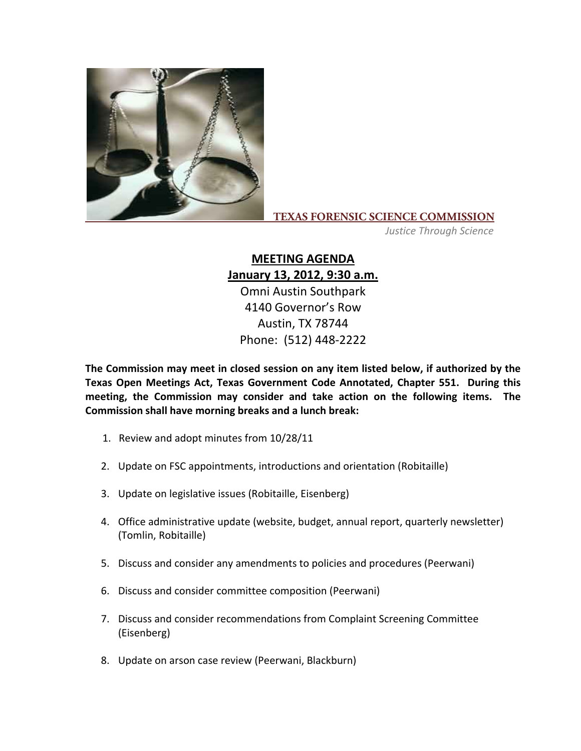

## **TEXAS FORENSIC SCIENCE COMMISSION**

*Justice Through Science*

## **MEETING AGENDA January 13, 2012, 9:30 a.m.**

Omni Austin Southpark 4140 Governor's Row Austin, TX 78744 Phone: (512) 448‐2222

**The Commission may meet in closed session on any item listed below, if authorized by the Texas Open Meetings Act, Texas Government Code Annotated, Chapter 551. During this meeting, the Commission may consider and take action on the following items. The Commission shall have morning breaks and a lunch break:**

- 1. Review and adopt minutes from 10/28/11
- 2. Update on FSC appointments, introductions and orientation (Robitaille)
- 3. Update on legislative issues (Robitaille, Eisenberg)
- 4. Office administrative update (website, budget, annual report, quarterly newsletter) (Tomlin, Robitaille)
- 5. Discuss and consider any amendments to policies and procedures (Peerwani)
- 6. Discuss and consider committee composition (Peerwani)
- 7. Discuss and consider recommendations from Complaint Screening Committee (Eisenberg)
- 8. Update on arson case review (Peerwani, Blackburn)